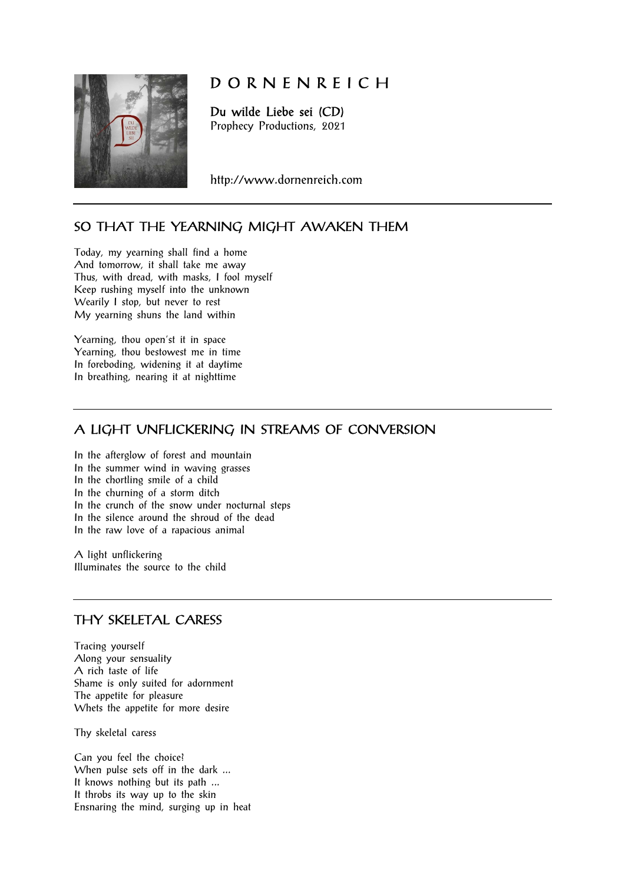

# D O R N E N R E I C H

Du wilde Liebe sei (CD) Prophecy Productions, 2021

http://www.dornenreich.com

# SO THAT THE YEARNING MIGHT AWAKEN THEM

Today, my yearning shall find a home And tomorrow, it shall take me away Thus, with dread, with masks, I fool myself Keep rushing myself into the unknown Wearily I stop, but never to rest My yearning shuns the land within

Yearning, thou open'st it in space Yearning, thou bestowest me in time In foreboding, widening it at daytime In breathing, nearing it at nighttime

## A LIGHT UNFLICKERING IN STREAMS OF CONVERSION

In the afterglow of forest and mountain In the summer wind in waving grasses In the chortling smile of a child In the churning of a storm ditch In the crunch of the snow under nocturnal steps In the silence around the shroud of the dead In the raw love of a rapacious animal

A light unflickering Illuminates the source to the child

## THY SKELETAL CARESS

Tracing yourself Along your sensuality A rich taste of life Shame is only suited for adornment The appetite for pleasure Whets the appetite for more desire

Thy skeletal caress

Can you feel the choice? When pulse sets off in the dark ... It knows nothing but its path ... It throbs its way up to the skin Ensnaring the mind, surging up in heat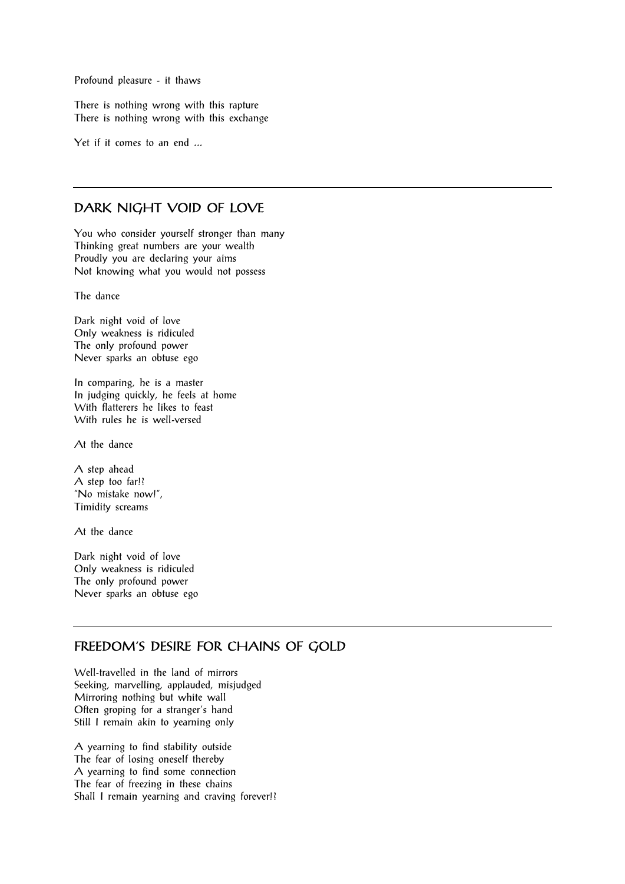Profound pleasure - it thaws

There is nothing wrong with this rapture There is nothing wrong with this exchange

Yet if it comes to an end ...

#### DARK NIGHT VOID OF LOVE

You who consider yourself stronger than many Thinking great numbers are your wealth Proudly you are declaring your aims Not knowing what you would not possess

The dance

Dark night void of love Only weakness is ridiculed The only profound power Never sparks an obtuse ego

In comparing, he is a master In judging quickly, he feels at home With flatterers he likes to feast With rules he is well-versed

At the dance

A step ahead A step too far!? "No mistake now!", Timidity screams

At the dance

Dark night void of love Only weakness is ridiculed The only profound power Never sparks an obtuse ego

## FREEDOM'S DESIRE FOR CHAINS OF GOLD

Well-travelled in the land of mirrors Seeking, marvelling, applauded, misjudged Mirroring nothing but white wall Often groping for a stranger's hand Still I remain akin to yearning only

A yearning to find stability outside The fear of losing oneself thereby A yearning to find some connection The fear of freezing in these chains Shall I remain yearning and craving forever!?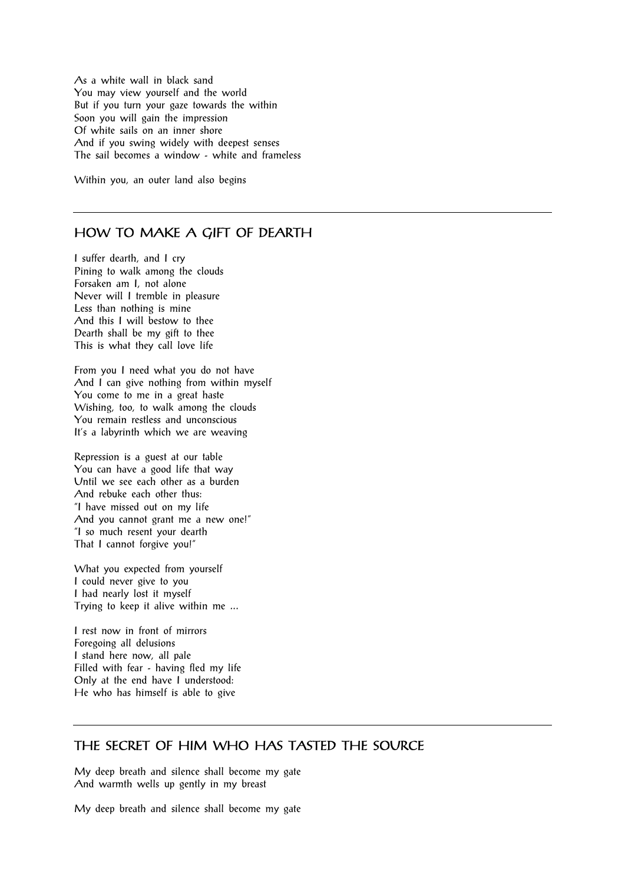As a white wall in black sand You may view yourself and the world But if you turn your gaze towards the within Soon you will gain the impression Of white sails on an inner shore And if you swing widely with deepest senses The sail becomes a window - white and frameless

Within you, an outer land also begins

#### HOW TO MAKE A GIFT OF DEARTH

I suffer dearth, and I cry Pining to walk among the clouds Forsaken am I, not alone Never will I tremble in pleasure Less than nothing is mine And this I will bestow to thee Dearth shall be my gift to thee This is what they call love life

From you I need what you do not have And I can give nothing from within myself You come to me in a great haste Wishing, too, to walk among the clouds You remain restless and unconscious It's a labyrinth which we are weaving

Repression is a guest at our table You can have a good life that way Until we see each other as a burden And rebuke each other thus: "I have missed out on my life And you cannot grant me a new one!" "I so much resent your dearth That I cannot forgive you!"

What you expected from yourself I could never give to you I had nearly lost it myself Trying to keep it alive within me ...

I rest now in front of mirrors Foregoing all delusions I stand here now, all pale Filled with fear - having fled my life Only at the end have I understood: He who has himself is able to give

#### THE SECRET OF HIM WHO HAS TASTED THE SOURCE

My deep breath and silence shall become my gate And warmth wells up gently in my breast

My deep breath and silence shall become my gate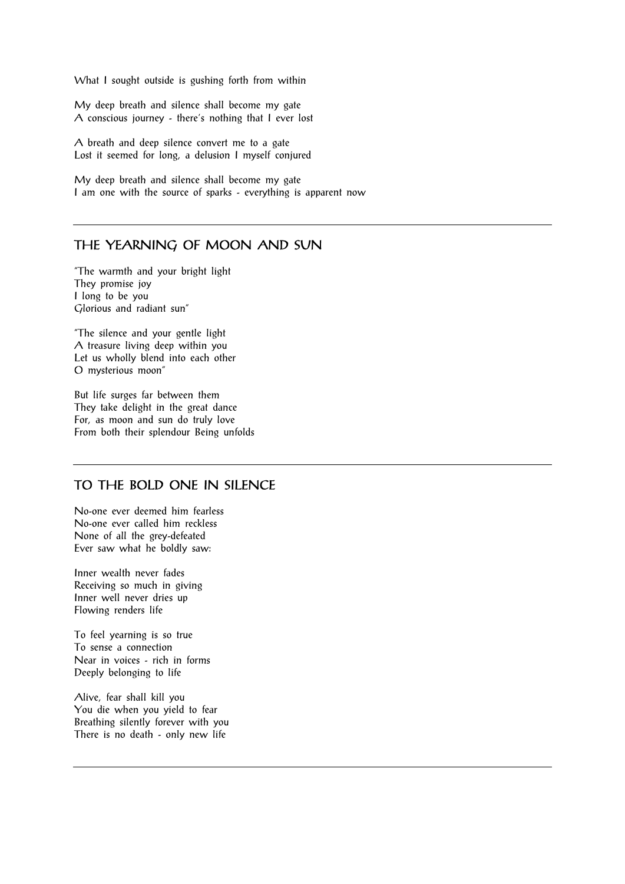What I sought outside is gushing forth from within

My deep breath and silence shall become my gate A conscious journey - there's nothing that I ever lost

A breath and deep silence convert me to a gate Lost it seemed for long, a delusion I myself conjured

My deep breath and silence shall become my gate I am one with the source of sparks - everything is apparent now

#### THE YEARNING OF MOON AND SUN

"The warmth and your bright light They promise joy I long to be you Glorious and radiant sun"

"The silence and your gentle light A treasure living deep within you Let us wholly blend into each other O mysterious moon"

But life surges far between them They take delight in the great dance For, as moon and sun do truly love From both their splendour Being unfolds

#### TO THE BOLD ONE IN SILENCE

No-one ever deemed him fearless No-one ever called him reckless None of all the grey-defeated Ever saw what he boldly saw:

Inner wealth never fades Receiving so much in giving Inner well never dries up Flowing renders life

To feel yearning is so true To sense a connection Near in voices - rich in forms Deeply belonging to life

Alive, fear shall kill you You die when you yield to fear Breathing silently forever with you There is no death - only new life